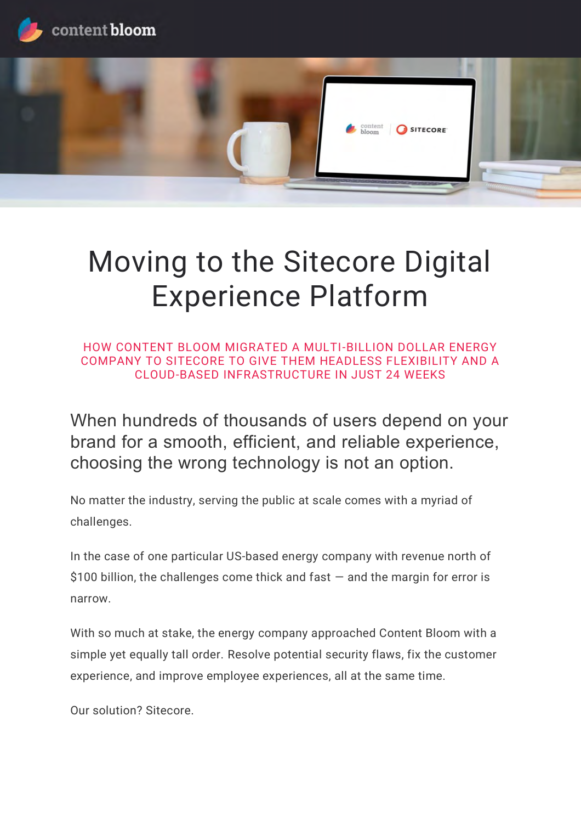



# Moving to the Sitecore Digital Experience Platform

HOW CONTENT BLOOM MIGRATED A MULTI-BILLION DOLLAR ENERGY COMPANY TO SITECORE TO GIVE THEM HEADLESS FLEXIBILITY AND A CLOUD-BASED INFRASTRUCTURE IN JUST 24 WEEKS

When hundreds of thousands of users depend on your brand for a smooth, efficient, and reliable experience, choosing the wrong technology is not an option.

No matter the industry, serving the public at scale comes with a myriad of challenges.

In the case of one particular US-based energy company with revenue north of \$100 billion, the challenges come thick and fast  $-$  and the margin for error is narrow.

With so much at stake, the energy company approached Content Bloom with a simple yet equally tall order. Resolve potential security flaws, fix the customer experience, and improve employee experiences, all at the same time.

Our solution? Sitecore.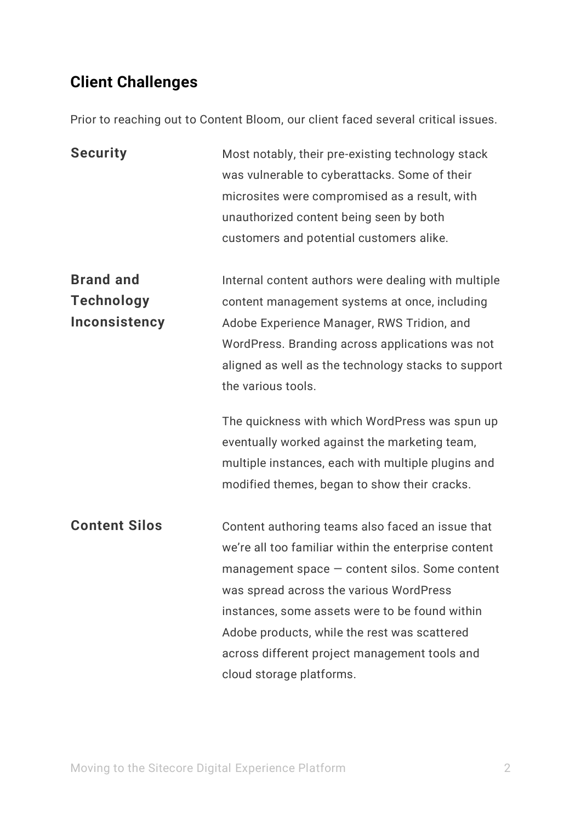# **Client Challenges**

Prior to reaching out to Content Bloom, our client faced several critical issues.

| <b>Security</b>      | Most notably, their pre-existing technology stack<br>was vulnerable to cyberattacks. Some of their<br>microsites were compromised as a result, with<br>unauthorized content being seen by both<br>customers and potential customers alike. |
|----------------------|--------------------------------------------------------------------------------------------------------------------------------------------------------------------------------------------------------------------------------------------|
| <b>Brand and</b>     | Internal content authors were dealing with multiple                                                                                                                                                                                        |
| <b>Technology</b>    | content management systems at once, including                                                                                                                                                                                              |
| <b>Inconsistency</b> | Adobe Experience Manager, RWS Tridion, and                                                                                                                                                                                                 |
|                      | WordPress. Branding across applications was not                                                                                                                                                                                            |
|                      | aligned as well as the technology stacks to support                                                                                                                                                                                        |
|                      | the various tools.                                                                                                                                                                                                                         |
|                      | The quickness with which WordPress was spun up                                                                                                                                                                                             |
|                      | eventually worked against the marketing team,                                                                                                                                                                                              |
|                      | multiple instances, each with multiple plugins and                                                                                                                                                                                         |
|                      | modified themes, began to show their cracks.                                                                                                                                                                                               |
| <b>Content Silos</b> | Content authoring teams also faced an issue that                                                                                                                                                                                           |
|                      | we're all too familiar within the enterprise content                                                                                                                                                                                       |
|                      | $m$ anagement space $-$ content silos. Some content                                                                                                                                                                                        |
|                      | was spread across the various WordPress                                                                                                                                                                                                    |
|                      | instances, some assets were to be found within                                                                                                                                                                                             |
|                      | Adobe products, while the rest was scattered                                                                                                                                                                                               |
|                      | across different project management tools and                                                                                                                                                                                              |
|                      | cloud storage platforms.                                                                                                                                                                                                                   |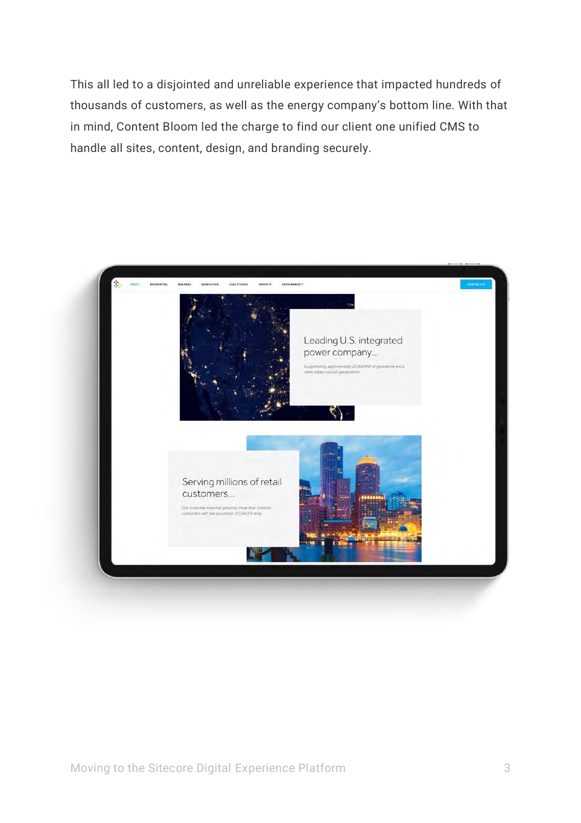This all led to a disjointed and unreliable experience that impacted hundreds of thousands of customers, as well as the energy company's bottom line. With that in mind, Content Bloom led the charge to find our client one unified CMS to handle all sites, content, design, and branding securely.

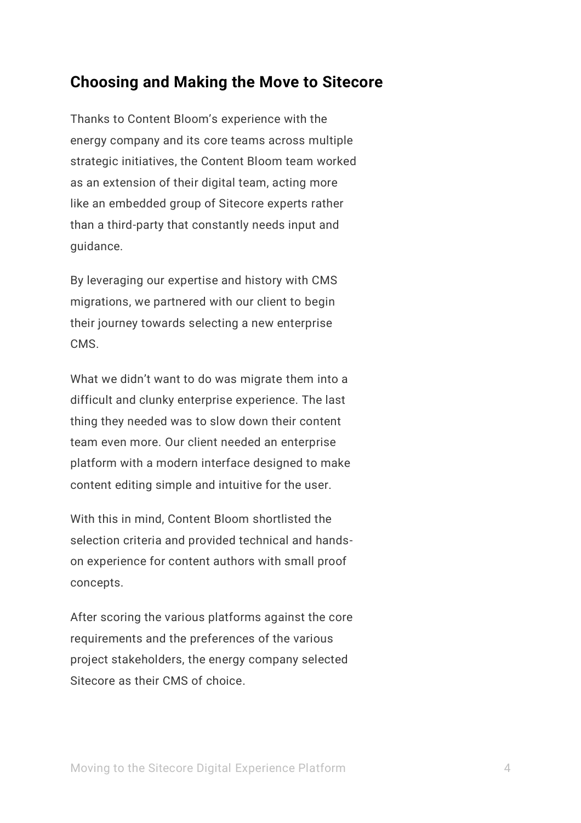## **Choosing and Making the Move to Sitecore**

Thanks to Content Bloom's experience with the energy company and its core teams across multiple strategic initiatives, the Content Bloom team worked as an extension of their digital team, acting more like an embedded group of Sitecore experts rather than a third-party that constantly needs input and guidance.

By leveraging our expertise and history with CMS migrations, we partnered with our client to begin their journey towards selecting a new enterprise CMS.

What we didn't want to do was migrate them into a difficult and clunky enterprise experience. The last thing they needed was to slow down their content team even more. Our client needed an enterprise platform with a modern interface designed to make content editing simple and intuitive for the user.

With this in mind, Content Bloom shortlisted the selection criteria and provided technical and handson experience for content authors with small proof concepts.

After scoring the various platforms against the core requirements and the preferences of the various project stakeholders, the energy company selected Sitecore as their CMS of choice.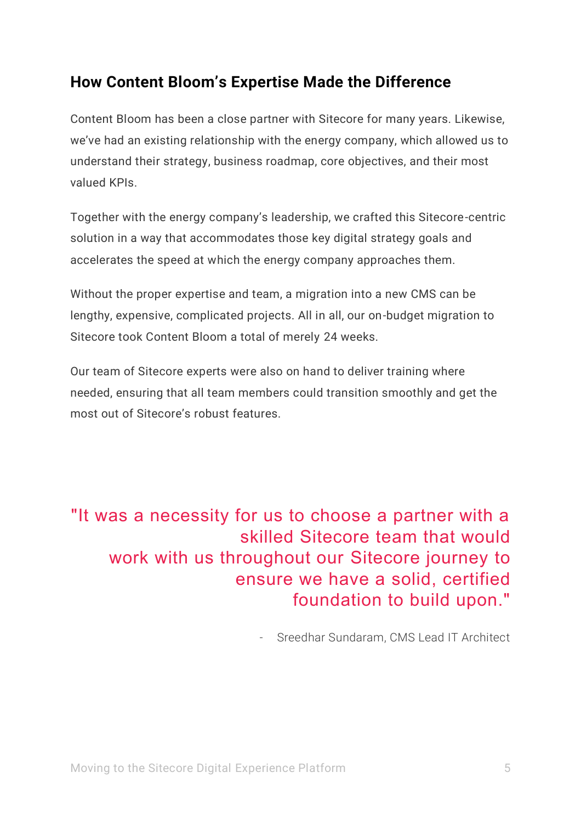## **How Content Bloom's Expertise Made the Difference**

Content Bloom has been a close partner with Sitecore for many years. Likewise, we've had an existing relationship with the energy company, which allowed us to understand their strategy, business roadmap, core objectives, and their most valued KPIs.

Together with the energy company's leadership, we crafted this Sitecore-centric solution in a way that accommodates those key digital strategy goals and accelerates the speed at which the energy company approaches them.

Without the proper expertise and team, a migration into a new CMS can be lengthy, expensive, complicated projects. All in all, our on-budget migration to Sitecore took Content Bloom a total of merely 24 weeks.

Our team of Sitecore experts were also on hand to deliver training where needed, ensuring that all team members could transition smoothly and get the most out of Sitecore's robust features.

# "It was a necessity for us to choose a partner with a skilled Sitecore team that would work with us throughout our Sitecore journey to ensure we have a solid, certified foundation to build upon."

Sreedhar Sundaram, CMS Lead IT Architect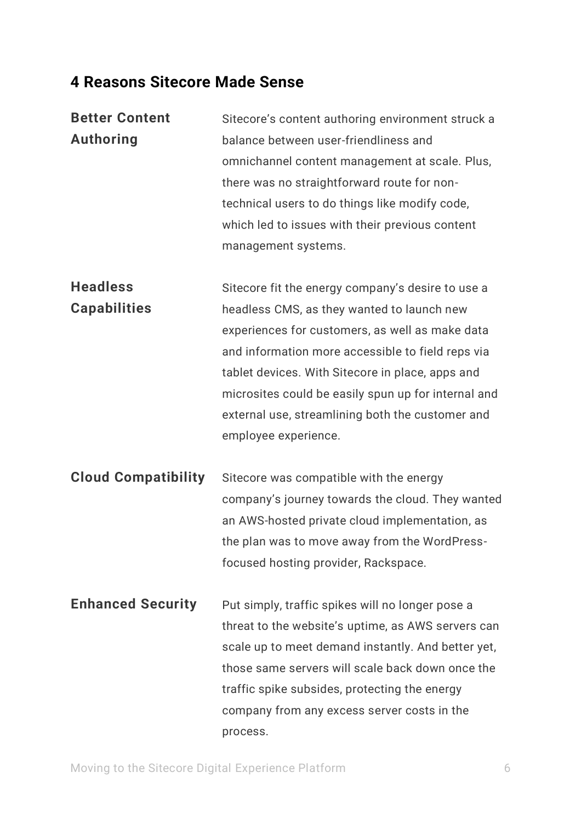## **4 Reasons Sitecore Made Sense**

| <b>Better Content</b>      | Sitecore's content authoring environment struck a   |
|----------------------------|-----------------------------------------------------|
| <b>Authoring</b>           | balance between user-friendliness and               |
|                            | omnichannel content management at scale. Plus,      |
|                            | there was no straightforward route for non-         |
|                            | technical users to do things like modify code,      |
|                            | which led to issues with their previous content     |
|                            | management systems.                                 |
| <b>Headless</b>            | Sitecore fit the energy company's desire to use a   |
| <b>Capabilities</b>        | headless CMS, as they wanted to launch new          |
|                            | experiences for customers, as well as make data     |
|                            | and information more accessible to field reps via   |
|                            | tablet devices. With Sitecore in place, apps and    |
|                            | microsites could be easily spun up for internal and |
|                            | external use, streamlining both the customer and    |
|                            | employee experience.                                |
| <b>Cloud Compatibility</b> | Sitecore was compatible with the energy             |
|                            | company's journey towards the cloud. They wanted    |
|                            | an AWS-hosted private cloud implementation, as      |
|                            | the plan was to move away from the WordPress-       |
|                            | focused hosting provider, Rackspace.                |
| <b>Enhanced Security</b>   | Put simply, traffic spikes will no longer pose a    |
|                            | threat to the website's uptime, as AWS servers can  |
|                            | scale up to meet demand instantly. And better yet,  |

those same servers will scale back down once the

traffic spike subsides, protecting the energy

company from any excess server costs in the

Moving to the Sitecore Digital Experience Platform 6

process.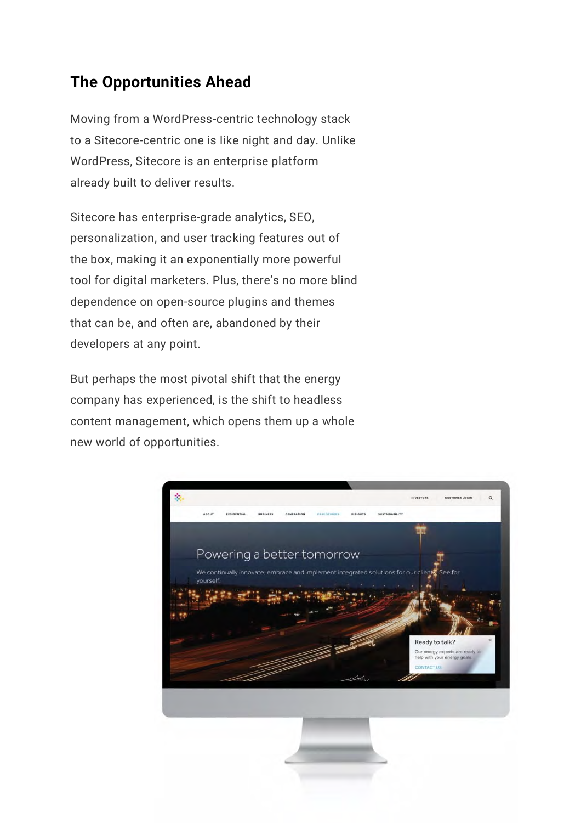## **The Opportunities Ahead**

Moving from a WordPress-centric technology stack to a Sitecore-centric one is like night and day. Unlike WordPress, Sitecore is an enterprise platform already built to deliver results.

Sitecore has enterprise-grade analytics, SEO, personalization, and user tracking features out of the box, making it an exponentially more powerful tool for digital marketers. Plus, there's no more blind dependence on open-source plugins and themes that can be, and often are, abandoned by their developers at any point.

But perhaps the most pivotal shift that the energy company has experienced, is the shift to headless content management, which opens them up a whole new world of opportunities.

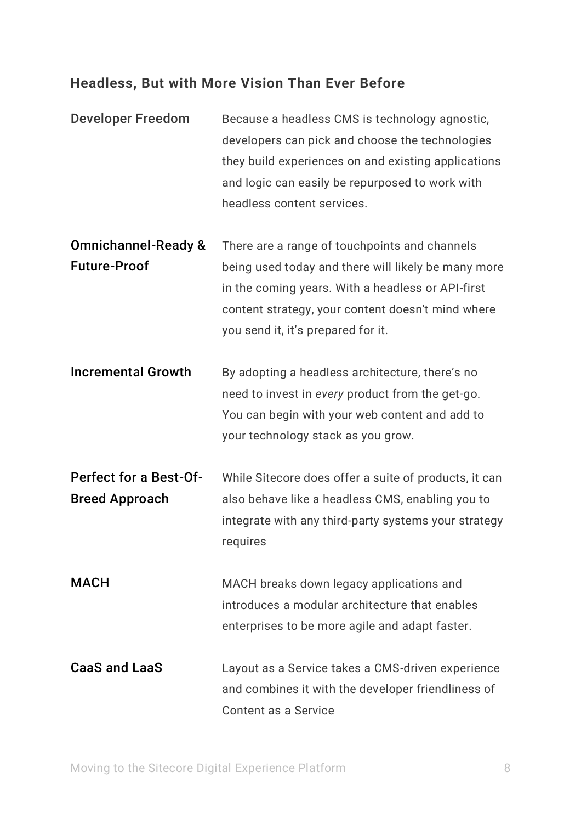#### **Headless, But with More Vision Than Ever Before**

- Developer Freedom Because a headless CMS is technology agnostic, developers can pick and choose the technologies they build experiences on and existing applications and logic can easily be repurposed to work with headless content services.
- Omnichannel-Ready & Future-Proof There are a range of touchpoints and channels being used today and there will likely be many more in the coming years. With a headless or API-first content strategy, your content doesn't mind where you send it, it's prepared for it.
- Incremental Growth By adopting a headless architecture, there's no need to invest in *every* product from the get-go. You can begin with your web content and add to your technology stack as you grow.
- Perfect for a Best-Of-Breed Approach While Sitecore does offer a suite of products, it can also behave like a headless CMS, enabling you to integrate with any third-party systems your strategy requires
- MACH MACH breaks down legacy applications and introduces a modular architecture that enables enterprises to be more agile and adapt faster.
- CaaS and LaaS Layout as a Service takes a CMS-driven experience and combines it with the developer friendliness of Content as a Service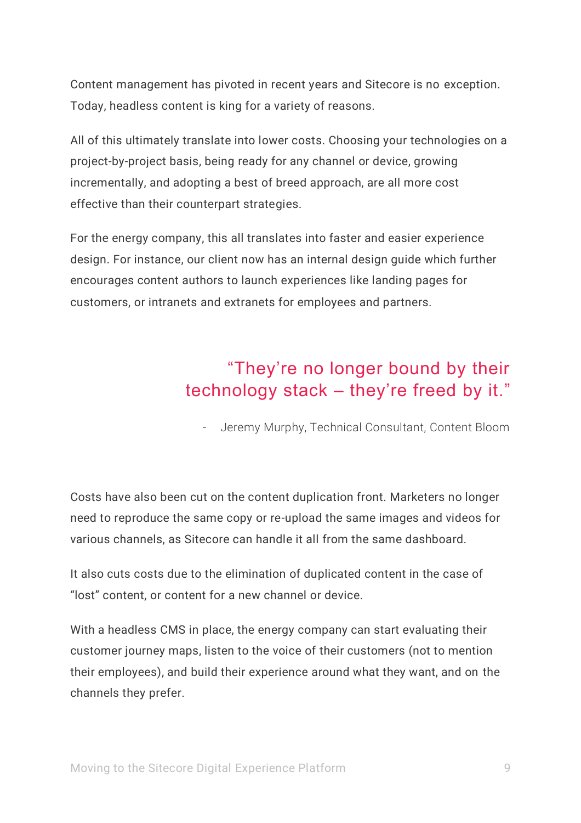Content management has pivoted in recent years and Sitecore is no exception. Today, headless content is king for a variety of reasons.

All of this ultimately translate into lower costs. Choosing your technologies on a project-by-project basis, being ready for any channel or device, growing incrementally, and adopting a best of breed approach, are all more cost effective than their counterpart strategies.

For the energy company, this all translates into faster and easier experience design. For instance, our client now has an internal design guide which further encourages content authors to launch experiences like landing pages for customers, or intranets and extranets for employees and partners.

# "They're no longer bound by their technology stack – they're freed by it."

- Jeremy Murphy, Technical Consultant, Content Bloom

Costs have also been cut on the content duplication front. Marketers no longer need to reproduce the same copy or re-upload the same images and videos for various channels, as Sitecore can handle it all from the same dashboard.

It also cuts costs due to the elimination of duplicated content in the case of "lost" content, or content for a new channel or device.

With a headless CMS in place, the energy company can start evaluating their customer journey maps, listen to the voice of their customers (not to mention their employees), and build their experience around what they want, and on the channels they prefer.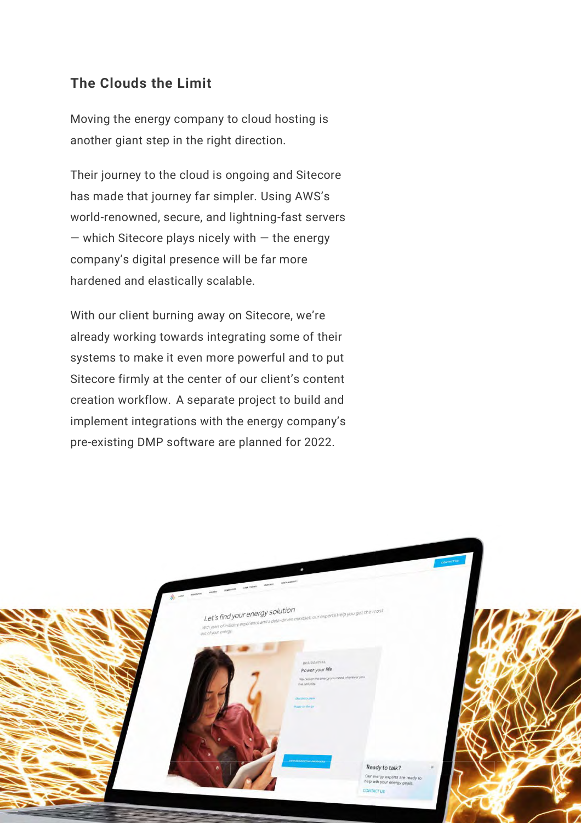#### **The Clouds the Limit**

Moving the energy company to cloud hosting is another giant step in the right direction.

Their journey to the cloud is ongoing and Sitecore has made that journey far simpler. Using AWS's world-renowned, secure, and lightning-fast servers — which Sitecore plays nicely with — the energy company's digital presence will be far more hardened and elastically scalable.

With our client burning away on Sitecore, we're already working towards integrating some of their systems to make it even more powerful and to put Sitecore firmly at the center of our client's content creation workflow. A separate project to build and implement integrations with the energy company's pre-existing DMP software are planned for 2022.